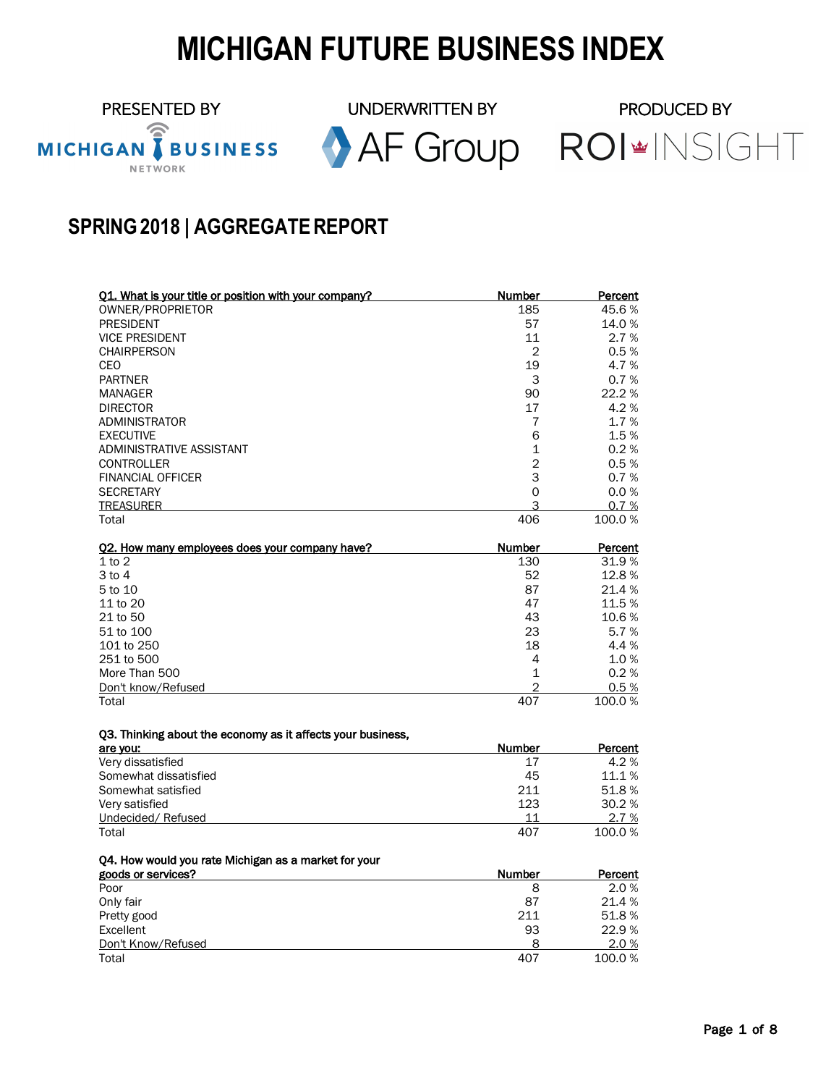# **MICHIGAN FUTURE BUSINESS INDEX**

PRESENTED BY UNDERWRITTEN BY PRODUCED BY<br>MICHIGAN TBUSINESS AF Group ROI\*INSIGHT

# **SPRING2018 | AGGREGATEREPORT**

| Q1. What is your title or position with your company?       | Number         | Percent |
|-------------------------------------------------------------|----------------|---------|
| OWNER/PROPRIETOR                                            | 185            | 45.6%   |
| <b>PRESIDENT</b>                                            | 57             | 14.0%   |
| <b>VICE PRESIDENT</b>                                       | 11             | 2.7%    |
| <b>CHAIRPERSON</b>                                          | 2              | 0.5%    |
| CEO                                                         | 19             | 4.7%    |
| <b>PARTNER</b>                                              | 3              | 0.7%    |
| <b>MANAGER</b>                                              | 90             | 22.2 %  |
| <b>DIRECTOR</b>                                             | 17             | 4.2%    |
| <b>ADMINISTRATOR</b>                                        | 7              | 1.7%    |
| <b>EXECUTIVE</b>                                            | 6              | 1.5%    |
| ADMINISTRATIVE ASSISTANT                                    | 1              | 0.2%    |
| <b>CONTROLLER</b>                                           | $\overline{2}$ | 0.5%    |
| <b>FINANCIAL OFFICER</b>                                    | 3              | 0.7%    |
| <b>SECRETARY</b>                                            | 0              | 0.0%    |
| <b>TREASURER</b>                                            | 3              | 0.7 %   |
| Total                                                       | 406            | 100.0%  |
| Q2. How many employees does your company have?              | Number         | Percent |
| $1$ to $2$                                                  | 130            | 31.9%   |
| $3$ to $4$                                                  | 52             | 12.8%   |
| 5 to 10                                                     | 87             | 21.4%   |
| 11 to 20                                                    | 47             | 11.5%   |
| 21 to 50                                                    | 43             | 10.6%   |
| 51 to 100                                                   | 23             | 5.7%    |
| 101 to 250                                                  | 18             | 4.4%    |
| 251 to 500                                                  | 4              | 1.0%    |
| More Than 500                                               | 1              | 0.2%    |
| Don't know/Refused                                          | $\overline{2}$ | 0.5%    |
| Total                                                       | 407            | 100.0%  |
|                                                             |                |         |
| Q3. Thinking about the economy as it affects your business, | Number         | Percent |
| are you:<br>Very dissatisfied                               | 17             | 4.2%    |
| Somewhat dissatisfied                                       | 45             | 11.1%   |
| Somewhat satisfied                                          | 211            | 51.8%   |
| Very satisfied                                              | 123            | 30.2%   |
| Undecided/Refused                                           | 11             | 2.7 %   |
| Total                                                       | 407            | 100.0%  |
|                                                             |                |         |
| Q4. How would you rate Michigan as a market for your        |                |         |
| goods or services?                                          | Number         | Percent |
| Poor                                                        | 8              | 2.0%    |
| Only fair                                                   | 87             | 21.4 %  |
| Pretty good                                                 | 211            | 51.8%   |
| Excellent                                                   | 93             | 22.9%   |
| Don't Know/Refused                                          | 8              | 2.0%    |
| Total                                                       | 407            | 100.0%  |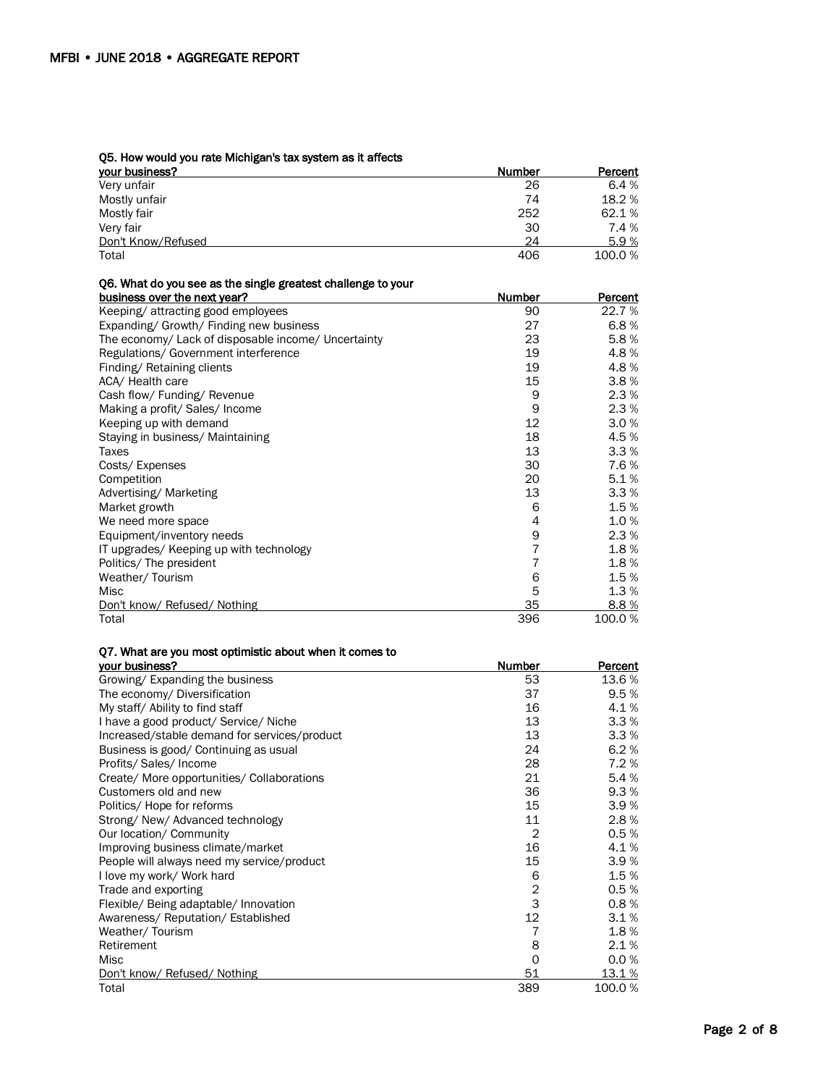#### Q5. How would you rate Michigan's tax system as it affects

| your business?     | Number | Percent |
|--------------------|--------|---------|
| Very unfair        | 26     | 6.4 $%$ |
| Mostly unfair      | 74     | 18.2 %  |
| Mostly fair        | 252    | 62.1%   |
| Very fair          | 30     | 7.4 %   |
| Don't Know/Refused | 24     | 5.9%    |
| Total              | 406    | 100.0%  |

| Q6. What do you see as the single greatest challenge to your |                |         |
|--------------------------------------------------------------|----------------|---------|
| business over the next year?                                 | Number         | Percent |
| Keeping/attracting good employees                            | 90             | 22.7 %  |
| Expanding/ Growth/ Finding new business                      | 27             | 6.8%    |
| The economy/ Lack of disposable income/ Uncertainty          | 23             | 5.8%    |
| Regulations/ Government interference                         | 19             | 4.8%    |
| Finding/Retaining clients                                    | 19             | 4.8%    |
| ACA/ Health care                                             | 15             | 3.8%    |
| Cash flow/ Funding/ Revenue                                  | 9              | 2.3%    |
| Making a profit/ Sales/ Income                               | 9              | 2.3%    |
| Keeping up with demand                                       | 12             | 3.0%    |
| Staying in business/ Maintaining                             | 18             | 4.5%    |
| Taxes                                                        | 13             | 3.3%    |
| Costs/Expenses                                               | 30             | 7.6%    |
| Competition                                                  | 20             | 5.1%    |
| Advertising/Marketing                                        | 13             | 3.3%    |
| Market growth                                                | 6              | 1.5%    |
| We need more space                                           | 4              | 1.0%    |
| Equipment/inventory needs                                    | 9              | 2.3%    |
| IT upgrades/ Keeping up with technology                      | 7              | 1.8%    |
| Politics/ The president                                      | $\overline{7}$ | 1.8%    |
| Weather/Tourism                                              | 6              | 1.5%    |
| Misc                                                         | 5              | 1.3%    |
| Don't know/ Refused/ Nothing                                 | 35             | 8.8%    |
| Total                                                        | 396            | 100.0%  |

# Q7. What are you most optimistic about when it comes to

| your business?                               | Number       | Percent |
|----------------------------------------------|--------------|---------|
| Growing/Expanding the business               | 53           | 13.6 %  |
| The economy/ Diversification                 | 37           | 9.5%    |
| My staff/ Ability to find staff              | 16           | 4.1%    |
| I have a good product/ Service/ Niche        | 13           | 3.3%    |
| Increased/stable demand for services/product | 13           | 3.3%    |
| Business is good/ Continuing as usual        | 24           | 6.2%    |
| Profits/ Sales/ Income                       | 28           | 7.2%    |
| Create/ More opportunities/ Collaborations   | 21           | 5.4%    |
| Customers old and new                        | 36           | 9.3%    |
| Politics/ Hope for reforms                   | 15           | 3.9%    |
| Strong/New/Advanced technology               | 11           | 2.8%    |
| Our location/ Community                      | 2            | 0.5%    |
| Improving business climate/market            | 16           | 4.1%    |
| People will always need my service/product   | 15           | 3.9%    |
| I love my work/ Work hard                    | 6            | 1.5%    |
| Trade and exporting                          | $\mathbf{2}$ | 0.5%    |
| Flexible/ Being adaptable/ Innovation        | 3            | 0.8%    |
| Awareness/Reputation/Established             | 12           | 3.1%    |
| Weather/Tourism                              |              | 1.8%    |
| Retirement                                   | 8            | 2.1%    |
| Misc                                         | 0            | 0.0%    |
| Don't know/ Refused/ Nothing                 | 51           | 13.1 %  |
| Total                                        | 389          | 100.0%  |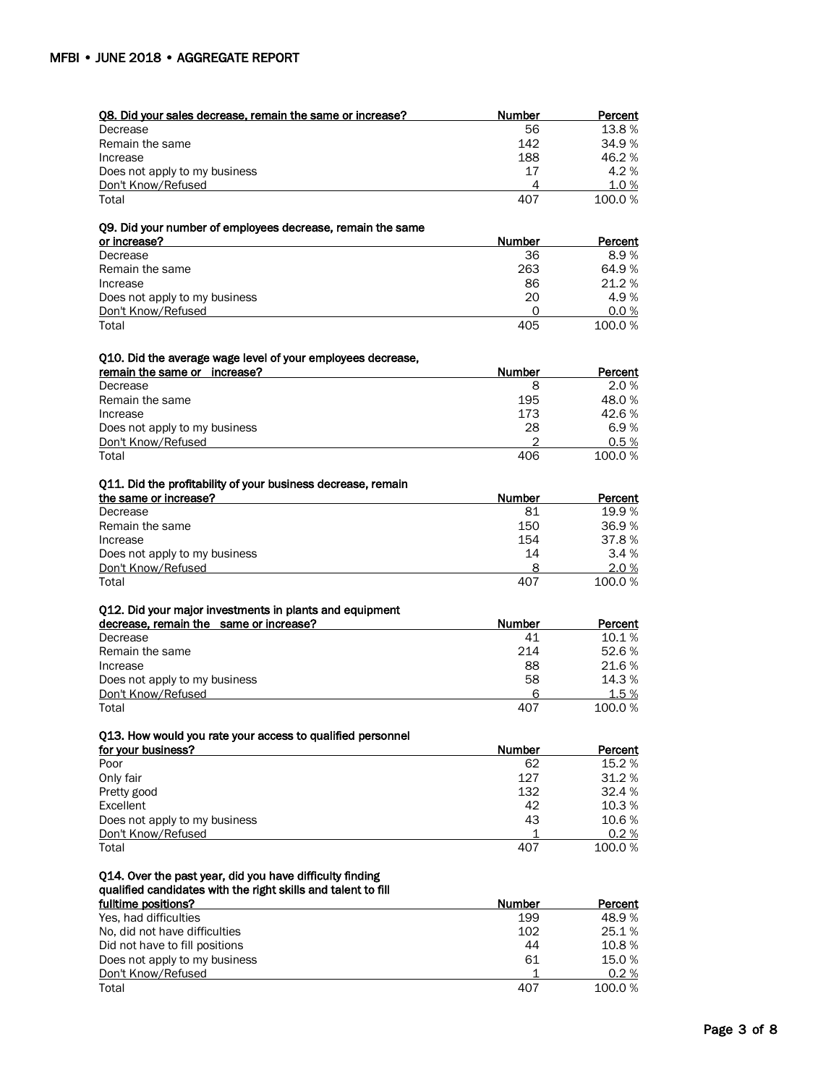| Q8. Did your sales decrease, remain the same or increase?                                   | Number        | Percent        |
|---------------------------------------------------------------------------------------------|---------------|----------------|
| Decrease                                                                                    | 56            | 13.8%          |
| Remain the same                                                                             | 142           | 34.9%          |
| Increase                                                                                    | 188           | 46.2%          |
| Does not apply to my business                                                               | 17            | 4.2%           |
| Don't Know/Refused                                                                          | 4             | 1.0%           |
| Total                                                                                       | 407           | 100.0%         |
| Q9. Did your number of employees decrease, remain the same                                  |               |                |
| or increase?                                                                                | Number        | Percent        |
| Decrease                                                                                    | 36            | 8.9%           |
| Remain the same                                                                             | 263           | 64.9%          |
| Increase                                                                                    | 86            | 21.2%          |
| Does not apply to my business                                                               | 20            | 4.9%           |
| Don't Know/Refused                                                                          | 0             | 0.0%           |
| Total                                                                                       | 405           | 100.0%         |
|                                                                                             |               |                |
| Q10. Did the average wage level of your employees decrease,<br>remain the same or increase? | Number        | Percent        |
| Decrease                                                                                    | 8             | 2.0%           |
| Remain the same                                                                             | 195           | 48.0%          |
| Increase                                                                                    | 173           | 42.6%          |
| Does not apply to my business                                                               | 28            | 6.9%           |
| Don't Know/Refused                                                                          | 2             | 0.5%           |
| Total                                                                                       | 406           | 100.0%         |
| Q11. Did the profitability of your business decrease, remain                                |               |                |
| the same or increase?                                                                       | Number        | Percent        |
| Decrease                                                                                    | 81            | 19.9%          |
| Remain the same                                                                             | 150           | 36.9%          |
| Increase                                                                                    | 154           | 37.8%          |
| Does not apply to my business                                                               | 14            | 3.4%           |
| Don't Know/Refused                                                                          | 8             | 2.0%           |
| Total                                                                                       | 407           | 100.0%         |
| Q12. Did your major investments in plants and equipment                                     |               |                |
| decrease, remain the same or increase?                                                      | Number        | Percent        |
| Decrease                                                                                    | 41            | 10.1%          |
| Remain the same                                                                             | 214           | 52.6%          |
| Increase                                                                                    | 88            | 21.6%          |
| Does not apply to my business                                                               | 58            | 14.3%          |
| Don't Know/Refused                                                                          | 6             | 1.5%           |
| Total                                                                                       | 407           | 100.0%         |
| 013. How would you rate your access to qualified personnel                                  |               |                |
| for your business?                                                                          | <b>Number</b> | Percent        |
| Poor                                                                                        | 62            | 15.2%          |
| Only fair                                                                                   | 127           | 31.2%          |
| Pretty good                                                                                 | 132           | 32.4%          |
| Excellent                                                                                   | 42            | 10.3%          |
| Does not apply to my business                                                               | 43            | 10.6%          |
| Don't Know/Refused                                                                          | 1             | 0.2%           |
| Total                                                                                       | 407           | 100.0%         |
| Q14. Over the past year, did you have difficulty finding                                    |               |                |
| qualified candidates with the right skills and talent to fill                               |               |                |
| fulltime positions?                                                                         | Number        | <b>Percent</b> |
| Yes, had difficulties                                                                       | 199           | 48.9%          |
| No, did not have difficulties                                                               | 102           | 25.1%          |
| Did not have to fill positions                                                              | 44            | 10.8%          |
| Does not apply to my business                                                               | 61            | 15.0%          |
| Don't Know/Refused                                                                          | 1             | 0.2%           |
| Total                                                                                       | 407           | 100.0%         |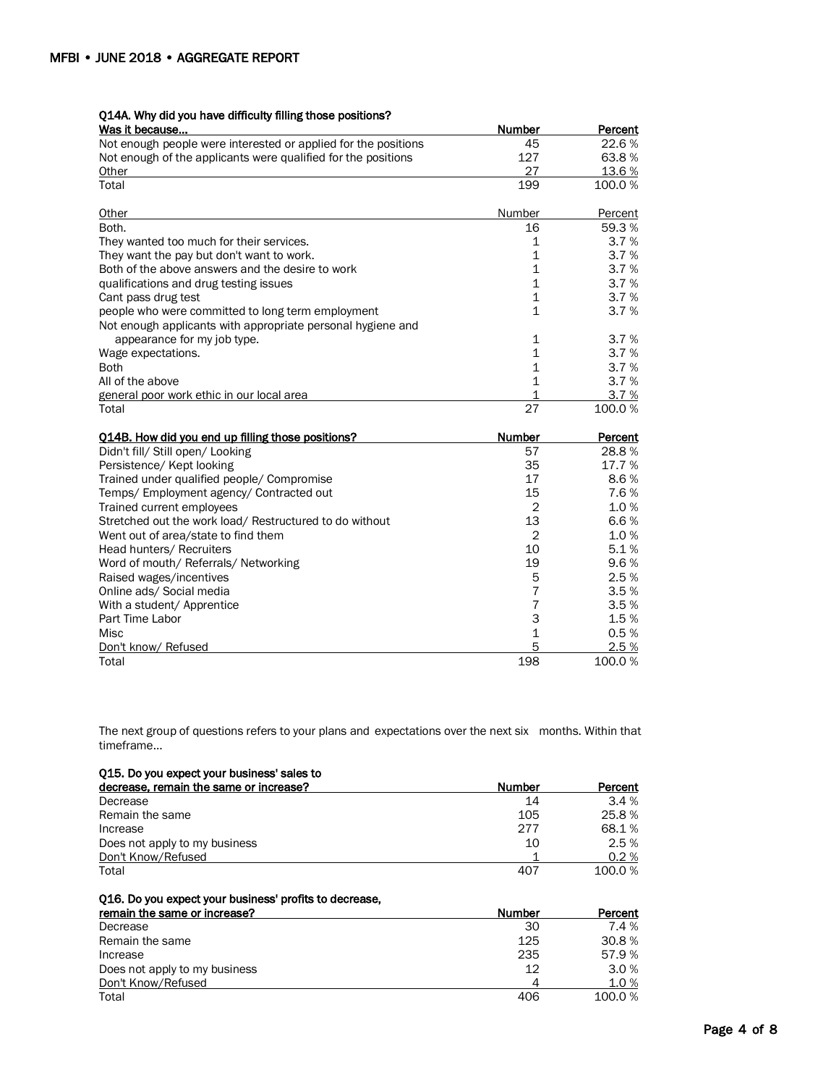# Q14A. Why did you have difficulty filling those positions?

| Was it because                                                 | <b>Number</b>  | <b>Percent</b> |
|----------------------------------------------------------------|----------------|----------------|
| Not enough people were interested or applied for the positions | 45             | 22.6%          |
| Not enough of the applicants were qualified for the positions  | 127            | 63.8%          |
| Other                                                          | 27             | 13.6%          |
| Total                                                          | 199            | 100.0%         |
| Other                                                          | Number         | Percent        |
| Both.                                                          | 16             | 59.3%          |
| They wanted too much for their services.                       | 1              | 3.7%           |
| They want the pay but don't want to work.                      | $\overline{1}$ | 3.7%           |
| Both of the above answers and the desire to work               | $\mathbf 1$    | 3.7%           |
| qualifications and drug testing issues                         | $\overline{1}$ | 3.7%           |
| Cant pass drug test                                            | $\mathbf 1$    | 3.7%           |
| people who were committed to long term employment              | $\mathbf 1$    | 3.7%           |
| Not enough applicants with appropriate personal hygiene and    |                |                |
| appearance for my job type.                                    | 1              | 3.7%           |
| Wage expectations.                                             | 1              | 3.7%           |
| <b>Both</b>                                                    | $\mathbf{1}$   | 3.7%           |
| All of the above                                               | $\mathbf{1}$   | 3.7%           |
| general poor work ethic in our local area                      | 1              | 3.7%           |
| Total                                                          | 27             | 100.0%         |
| Q14B. How did you end up filling those positions?              | <b>Number</b>  | Percent        |
| Didn't fill/ Still open/ Looking                               | 57             | 28.8%          |
| Persistence/ Kept looking                                      | 35             | 17.7%          |
| Trained under qualified people/ Compromise                     | 17             | 8.6%           |
| Temps/Employment agency/Contracted out                         | 15             | 7.6%           |
| Trained current employees                                      | $\overline{2}$ | 1.0%           |
| Stretched out the work load/ Restructured to do without        | 13             | 6.6%           |
| Went out of area/state to find them                            | $\overline{2}$ | 1.0%           |
| Head hunters/ Recruiters                                       | 10             | 5.1%           |
| Word of mouth/ Referrals/ Networking                           | 19             | 9.6%           |
| Raised wages/incentives                                        | 5              | 2.5%           |
| Online ads/ Social media                                       | 7              | 3.5%           |
| With a student/ Apprentice                                     | $\overline{7}$ | 3.5%           |
| Part Time Labor                                                | 3              | 1.5%           |
| Misc                                                           | $\mathbf 1$    | 0.5%           |
| Don't know/ Refused                                            | 5              | 2.5%           |
| Total                                                          | 198            | 100.0%         |

The next group of questions refers to your plans and expectations over the next six months. Within that timeframe…

| Q15. Do you expect your business' sales to |               |         |
|--------------------------------------------|---------------|---------|
| decrease, remain the same or increase?     | <b>Number</b> | Percent |
| Decrease                                   | 14            | 3.4%    |
| Remain the same                            | 105           | 25.8%   |
| Increase                                   | 277           | 68.1%   |
| Does not apply to my business              | 10            | 2.5%    |
| Don't Know/Refused                         |               | 0.2%    |
| Total                                      | 407           | 100.0%  |

Q16. Do you expect your business' profits to decrease,

| remain the same or increase?  | Number | Percent |
|-------------------------------|--------|---------|
| Decrease                      | 30     | 7.4 %   |
| Remain the same               | 125    | 30.8%   |
| Increase                      | 235    | 57.9%   |
| Does not apply to my business | 12     | 3.0%    |
| Don't Know/Refused            |        | 1.0%    |
| Total                         | 406    | 100.0%  |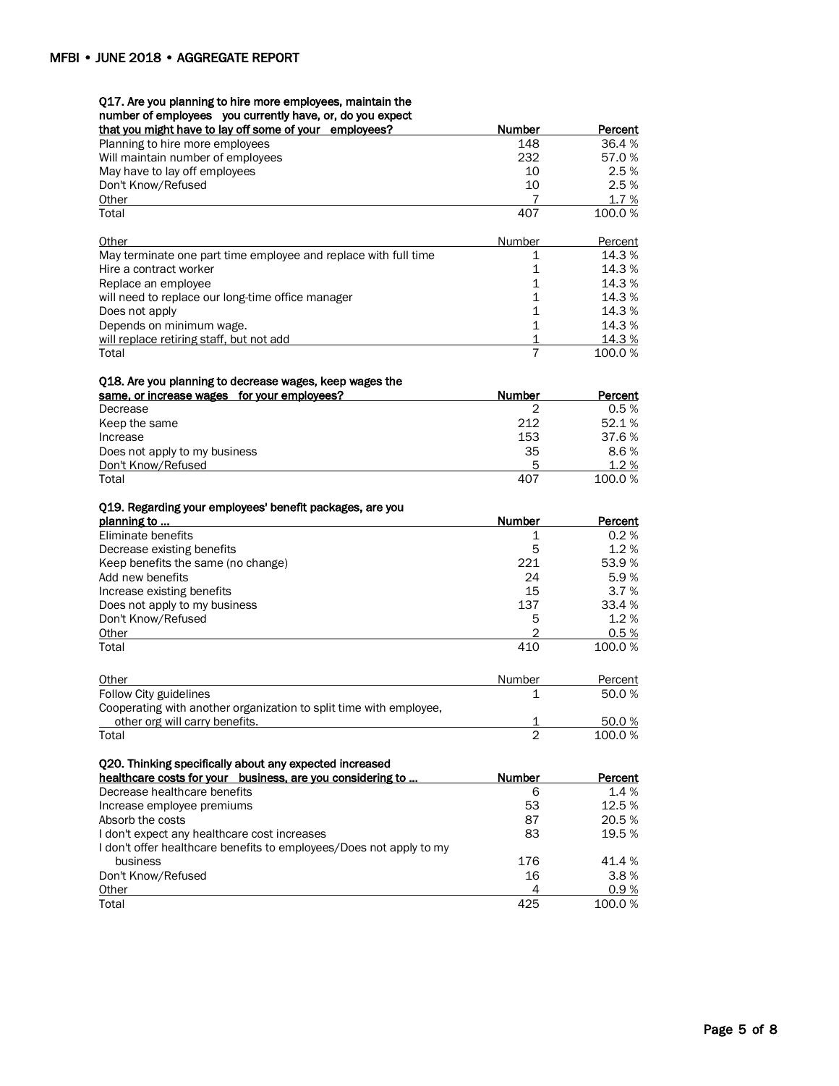### Q17. Are you planning to hire more employees, maintain the

#### number of employees you currently have, or, do you expect

| $111001$ of chiploycool you currently have, or, ao you on<br>that you might have to lay off some of your employees? | <b>Number</b>  | <b>Percent</b>  |
|---------------------------------------------------------------------------------------------------------------------|----------------|-----------------|
| Planning to hire more employees                                                                                     | 148            | 36.4%           |
| Will maintain number of employees                                                                                   | 232            | 57.0%           |
| May have to lay off employees                                                                                       | 10             | 2.5%            |
| Don't Know/Refused                                                                                                  | 10             | 2.5%            |
| Other                                                                                                               | 7              | 1.7%            |
| Total                                                                                                               | 407            | 100.0%          |
| Other                                                                                                               | Number         | Percent         |
| May terminate one part time employee and replace with full time                                                     | 1              | 14.3%           |
| Hire a contract worker                                                                                              | 1              | 14.3%           |
| Replace an employee                                                                                                 | 1              | 14.3%           |
| will need to replace our long-time office manager                                                                   | $\mathbf 1$    | 14.3%           |
| Does not apply                                                                                                      | $\mathbf 1$    | 14.3 %          |
| Depends on minimum wage.                                                                                            | $\mathbf{1}$   | 14.3%           |
| will replace retiring staff, but not add                                                                            | <u>1</u>       | 14.3%           |
| Total                                                                                                               | $\overline{7}$ | 100.0%          |
| Q18. Are you planning to decrease wages, keep wages the                                                             |                |                 |
| same, or increase wages for your employees?                                                                         | Number<br>2    | Percent<br>0.5% |
| Decrease                                                                                                            | 212            | 52.1%           |
| Keep the same<br>Increase                                                                                           | 153            | 37.6%           |
|                                                                                                                     | 35             | 8.6%            |
| Does not apply to my business<br>Don't Know/Refused                                                                 | 5              | 1.2%            |
| Total                                                                                                               | 407            | 100.0%          |
|                                                                                                                     |                |                 |
| Q19. Regarding your employees' benefit packages, are you<br>planning to                                             | Number         | Percent         |
| Eliminate benefits                                                                                                  | 1              | 0.2%            |
| Decrease existing benefits                                                                                          | 5              | 1.2%            |
| Keep benefits the same (no change)                                                                                  | 221            | 53.9%           |
| Add new benefits                                                                                                    | 24             | 5.9%            |
| Increase existing benefits                                                                                          | 15             | 3.7%            |
| Does not apply to my business                                                                                       | 137            | 33.4 %          |
| Don't Know/Refused                                                                                                  | 5              | 1.2%            |
| Other                                                                                                               | 2              | 0.5%            |
| Total                                                                                                               | 410            | 100.0%          |
| Other                                                                                                               | Number         | Percent         |
| Follow City guidelines                                                                                              | 1              | 50.0%           |
| Cooperating with another organization to split time with employee,                                                  |                |                 |
| other org will carry benefits.                                                                                      |                | 50.0%           |
| Total                                                                                                               | 2              | 100.0%          |
| Q20. Thinking specifically about any expected increased                                                             |                |                 |
| healthcare costs for your business, are you considering to                                                          | Number         | <b>Percent</b>  |
| Decrease healthcare benefits                                                                                        | 6              | 1.4%            |
| Increase employee premiums                                                                                          | 53             | 12.5 %          |
| Absorb the costs                                                                                                    | 87             | 20.5%           |
| I don't expect any healthcare cost increases                                                                        | 83             | 19.5 %          |
| I don't offer healthcare benefits to employees/Does not apply to my                                                 |                |                 |
| business                                                                                                            | 176            | 41.4 %          |
| Don't Know/Refused                                                                                                  | 16             | 3.8%            |
| Other                                                                                                               | 4              | 0.9%            |
| Total                                                                                                               | 425            | 100.0%          |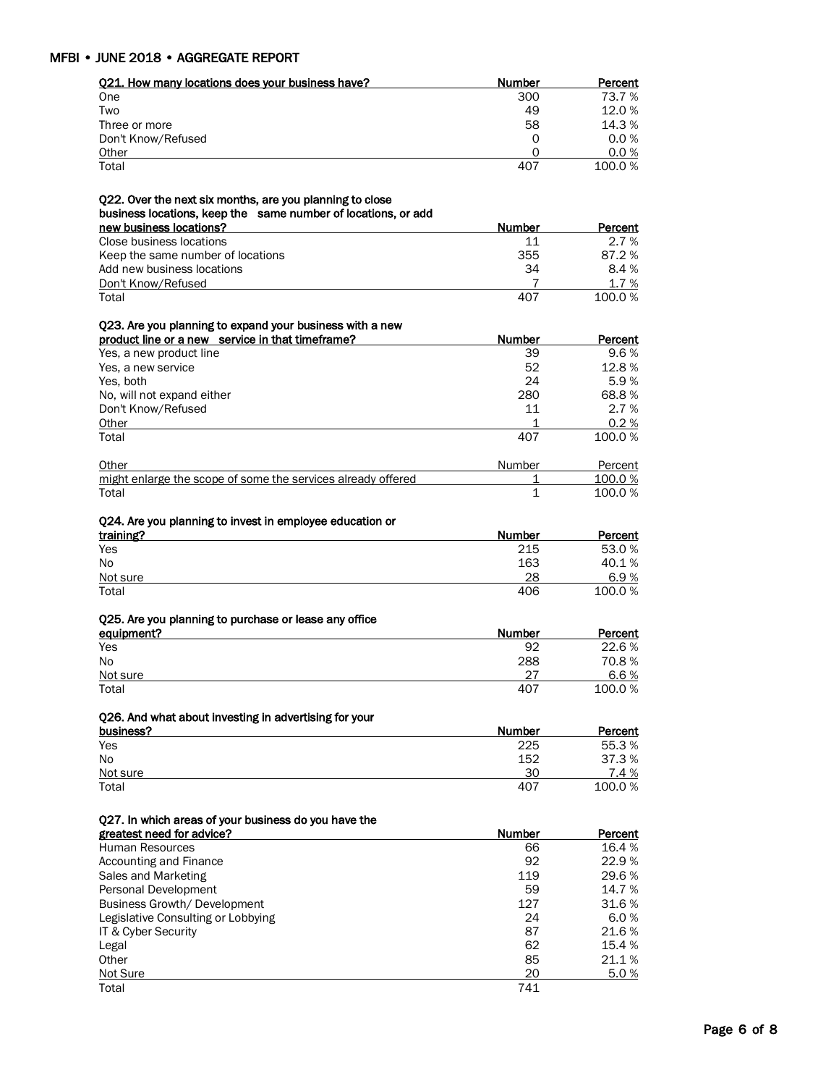| Q21. How many locations does your business have?              | Number        | Percent          |
|---------------------------------------------------------------|---------------|------------------|
| One                                                           | 300           | 73.7 %           |
| Two                                                           | 49            | 12.0%            |
| Three or more                                                 | 58            | 14.3%            |
| Don't Know/Refused                                            | 0             | 0.0%             |
| Other                                                         | 0             | 0.0%             |
| Total                                                         | 407           | 100.0%           |
| Q22. Over the next six months, are you planning to close      |               |                  |
| business locations, keep the same number of locations, or add |               |                  |
| new business locations?                                       | Number        | Percent          |
| Close business locations                                      | 11            | 2.7%             |
| Keep the same number of locations                             | 355           | 87.2%<br>8.4%    |
| Add new business locations<br>Don't Know/Refused              | 34<br>7       | 1.7%             |
| Total                                                         | 407           | 100.0%           |
| Q23. Are you planning to expand your business with a new      |               |                  |
| product line or a new service in that timeframe?              | Number        | Percent          |
| Yes, a new product line                                       | 39            | 9.6%             |
| Yes, a new service                                            | 52            | 12.8%            |
| Yes, both                                                     | 24            | 5.9%             |
| No, will not expand either                                    | 280           | 68.8%            |
| Don't Know/Refused                                            | 11            | 2.7%             |
| Other                                                         | 1             | 0.2%             |
| Total                                                         | 407           | 100.0%           |
| <u>Other</u>                                                  | <b>Number</b> | Percent          |
| might enlarge the scope of some the services already offered  | 1             | 100.0%           |
| Total                                                         | 1             | 100.0%           |
| Q24. Are you planning to invest in employee education or      |               |                  |
| training?                                                     | Number        | Percent          |
| Yes                                                           | 215           | 53.0%            |
| No                                                            | 163           | 40.1%            |
| Not sure                                                      | 28            | 6.9%             |
| Total                                                         | 406           | 100.0%           |
| Q25. Are you planning to purchase or lease any office         |               |                  |
| equipment?                                                    | Number        | Percent          |
| Yes                                                           | 92            | 22.6%            |
| No                                                            | 288           | 70.8%            |
| Not sure                                                      | 27            | 6.6%             |
| Total                                                         | 407           | 100.0%           |
| Q26. And what about investing in advertising for your         |               |                  |
| business?                                                     | Number<br>225 | Percent<br>55.3% |
| Yes<br>No                                                     | 152           | 37.3%            |
| Not sure                                                      | 30            | 7.4%             |
| Total                                                         | 407           | 100.0%           |
|                                                               |               |                  |
| Q27. In which areas of your business do you have the          |               |                  |
| greatest need for advice?                                     | Number        | Percent          |
| Human Resources                                               | 66<br>92      | 16.4%<br>22.9%   |
| Accounting and Finance<br>Sales and Marketing                 | 119           | 29.6%            |
| Personal Development                                          | 59            | 14.7%            |
| Business Growth/ Development                                  | 127           | 31.6%            |
| Legislative Consulting or Lobbying                            | 24            | 6.0%             |
| IT & Cyber Security                                           | 87            | 21.6%            |
| Legal                                                         | 62            | 15.4 %           |
| Other                                                         | 85            | 21.1%            |
| Not Sure                                                      | 20            | 5.0%             |
| Total                                                         | 741           |                  |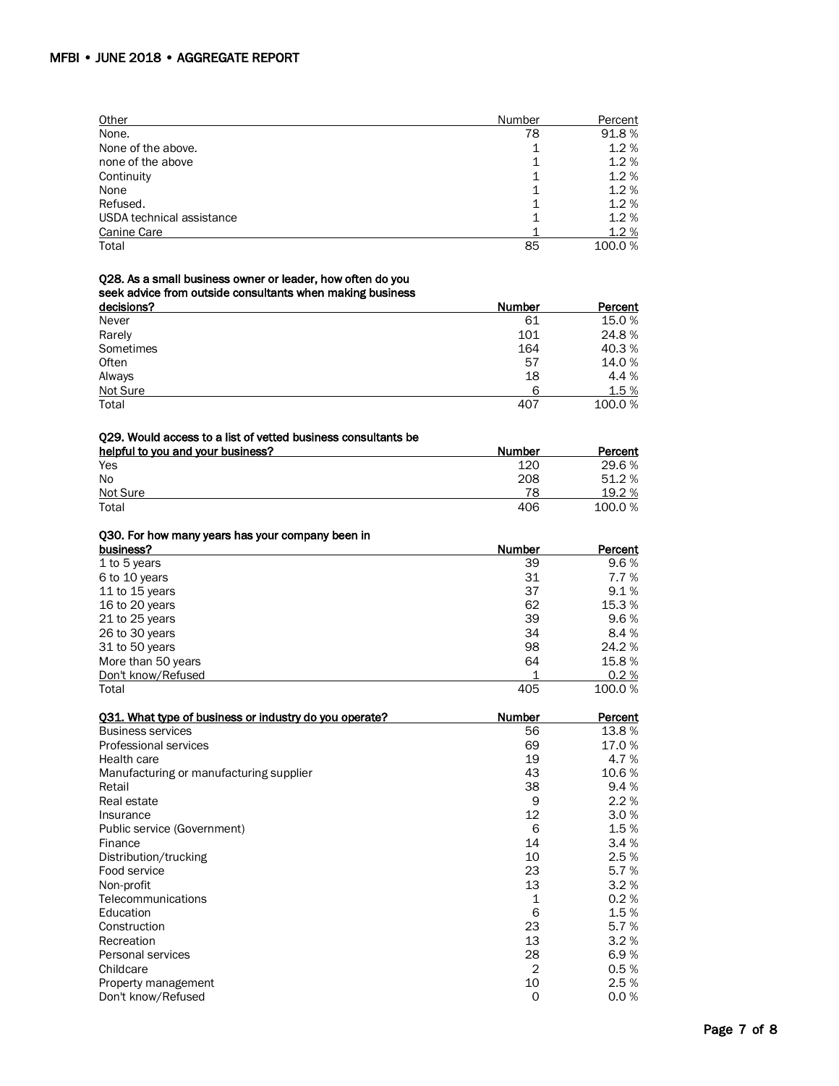| Other                     | Number | Percent |
|---------------------------|--------|---------|
| None.                     | 78     | 91.8%   |
| None of the above.        |        | 1.2%    |
| none of the above         | 1      | 1.2%    |
| Continuity                |        | 1.2%    |
| None                      |        | 1.2%    |
| Refused.                  | 1      | 1.2%    |
| USDA technical assistance |        | 1.2%    |
| Canine Care               |        | 1.2%    |
| Total                     | 85     | 100.0%  |

#### Q28. As a small business owner or leader, how often do you

#### seek advice from outside consultants when making business

| decisions? | -<br><b>Number</b> | Percent |
|------------|--------------------|---------|
| Never      | 61                 | 15.0 %  |
| Rarely     | 101                | 24.8%   |
| Sometimes  | 164                | 40.3%   |
| Often      | 57                 | 14.0%   |
| Always     | 18                 | 4.4 %   |
| Not Sure   | 6                  | 1.5 %   |
| Total      | 407                | 100.0%  |

#### Q29. Would access to a list of vetted business consultants be

| helpful to you and your business? | Number | Percent |
|-----------------------------------|--------|---------|
| Yes                               | 120    | 29.6 %  |
| <b>No</b>                         | 208    | 51.2%   |
| Not Sure                          | 78     | 19.2 %  |
| Total                             | 406    | 100.0 % |

#### Q30. For how many years has your company been in

| business?          | Number | Percent |
|--------------------|--------|---------|
| 1 to 5 years       | 39     | 9.6%    |
| 6 to 10 years      | 31     | 7.7%    |
| 11 to 15 years     | 37     | 9.1%    |
| 16 to 20 years     | 62     | 15.3%   |
| 21 to 25 years     | 39     | 9.6%    |
| 26 to 30 years     | 34     | 8.4%    |
| 31 to 50 years     | 98     | 24.2 %  |
| More than 50 years | 64     | 15.8 %  |
| Don't know/Refused |        | 0.2%    |
| Total              | 405    | 100.0%  |

| 031. What type of business or industry do you operate? | Number         | Percent |
|--------------------------------------------------------|----------------|---------|
| <b>Business services</b>                               | 56             | 13.8 %  |
| Professional services                                  | 69             | 17.0%   |
| Health care                                            | 19             | 4.7%    |
| Manufacturing or manufacturing supplier                | 43             | 10.6%   |
| Retail                                                 | 38             | 9.4%    |
| Real estate                                            | 9              | 2.2%    |
| Insurance                                              | 12             | 3.0%    |
| Public service (Government)                            | 6              | 1.5%    |
| Finance                                                | 14             | 3.4%    |
| Distribution/trucking                                  | 10             | 2.5%    |
| Food service                                           | 23             | 5.7%    |
| Non-profit                                             | 13             | 3.2%    |
| Telecommunications                                     | 1              | 0.2%    |
| Education                                              | 6              | 1.5%    |
| Construction                                           | 23             | 5.7%    |
| Recreation                                             | 13             | 3.2%    |
| Personal services                                      | 28             | 6.9%    |
| Childcare                                              | $\overline{2}$ | 0.5%    |
| Property management                                    | 10             | 2.5%    |
| Don't know/Refused                                     | 0              | 0.0%    |